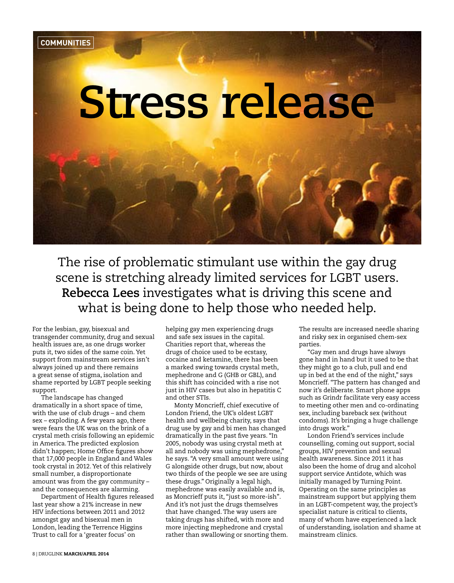

The rise of problematic stimulant use within the gay drug scene is stretching already limited services for LGBT users. **Rebecca Lees** investigates what is driving this scene and what is being done to help those who needed help.

For the lesbian, gay, bisexual and transgender community, drug and sexual health issues are, as one drugs worker puts it, two sides of the same coin. Yet support from mainstream services isn't always joined up and there remains a great sense of stigma, isolation and shame reported by LGBT people seeking support.

The landscape has changed dramatically in a short space of time, with the use of club drugs – and chem sex – exploding. A few years ago, there were fears the UK was on the brink of a crystal meth crisis following an epidemic in America. The predicted explosion didn't happen; Home Office figures show that 17,000 people in England and Wales took crystal in 2012. Yet of this relatively small number, a disproportionate amount was from the gay community – and the consequences are alarming.

Department of Health figures released last year show a 21% increase in new HIV infections between 2011 and 2012 amongst gay and bisexual men in London, leading the Terrence Higgins Trust to call for a 'greater focus' on

helping gay men experiencing drugs and safe sex issues in the capital. Charities report that, whereas the drugs of choice used to be ecstasy, cocaine and ketamine, there has been a marked swing towards crystal meth, mephedrone and G (GHB or GBL), and this shift has coincided with a rise not just in HIV cases but also in hepatitis C and other STIs.

Monty Moncrieff, chief executive of London Friend, the UK's oldest LGBT health and wellbeing charity, says that drug use by gay and bi men has changed dramatically in the past five years. "In 2005, nobody was using crystal meth at all and nobody was using mephedrone," he says. "A very small amount were using G alongside other drugs, but now, about two thirds of the people we see are using these drugs." Originally a legal high, mephedrone was easily available and is, as Moncrieff puts it, "just so more-ish". And it's not just the drugs themselves that have changed. The way users are taking drugs has shifted, with more and more injecting mephedrone and crystal rather than swallowing or snorting them. The results are increased needle sharing and risky sex in organised chem-sex parties.

"Gay men and drugs have always gone hand in hand but it used to be that they might go to a club, pull and end up in bed at the end of the night," says Moncrieff. "The pattern has changed and now it's deliberate. Smart phone apps such as Grindr facilitate very easy access to meeting other men and co-ordinating sex, including bareback sex (without condoms). It's bringing a huge challenge into drugs work."

London Friend's services include counselling, coming out support, social groups, HIV prevention and sexual health awareness. Since 2011 it has also been the home of drug and alcohol support service Antidote, which was initially managed by Turning Point. Operating on the same principles as mainstream support but applying them in an LGBT-competent way, the project's specialist nature is critical to clients, many of whom have experienced a lack of understanding, isolation and shame at mainstream clinics.